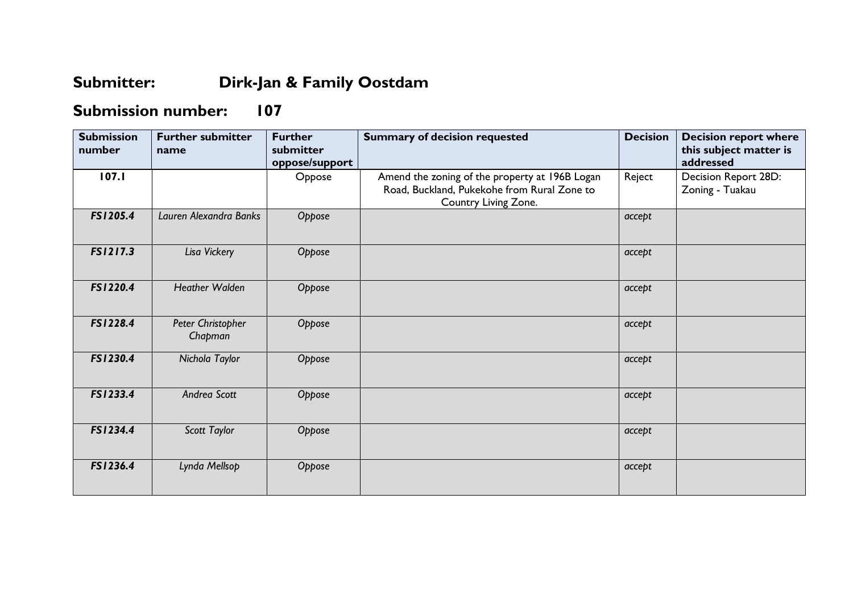## **Submitter: Dirk-Jan & Family Oostdam**

## **Submission number: 107**

| <b>Submission</b><br>number | <b>Further submitter</b><br>name | <b>Further</b><br>submitter<br>oppose/support | <b>Summary of decision requested</b>                                                                                  | <b>Decision</b> | <b>Decision report where</b><br>this subject matter is<br>addressed |
|-----------------------------|----------------------------------|-----------------------------------------------|-----------------------------------------------------------------------------------------------------------------------|-----------------|---------------------------------------------------------------------|
| 107.1                       |                                  | Oppose                                        | Amend the zoning of the property at 196B Logan<br>Road, Buckland, Pukekohe from Rural Zone to<br>Country Living Zone. | Reject          | Decision Report 28D:<br>Zoning - Tuakau                             |
| FS1205.4                    | Lauren Alexandra Banks           | Oppose                                        |                                                                                                                       | accept          |                                                                     |
| FS1217.3                    | Lisa Vickery                     | Oppose                                        |                                                                                                                       | accept          |                                                                     |
| FS1220.4                    | <b>Heather Walden</b>            | Oppose                                        |                                                                                                                       | accept          |                                                                     |
| FS1228.4                    | Peter Christopher<br>Chapman     | Oppose                                        |                                                                                                                       | accept          |                                                                     |
| FS1230.4                    | Nichola Taylor                   | Oppose                                        |                                                                                                                       | accept          |                                                                     |
| FS1233.4                    | Andrea Scott                     | Oppose                                        |                                                                                                                       | accept          |                                                                     |
| FS1234.4                    | Scott Taylor                     | Oppose                                        |                                                                                                                       | accept          |                                                                     |
| FS1236.4                    | Lynda Mellsop                    | Oppose                                        |                                                                                                                       | accept          |                                                                     |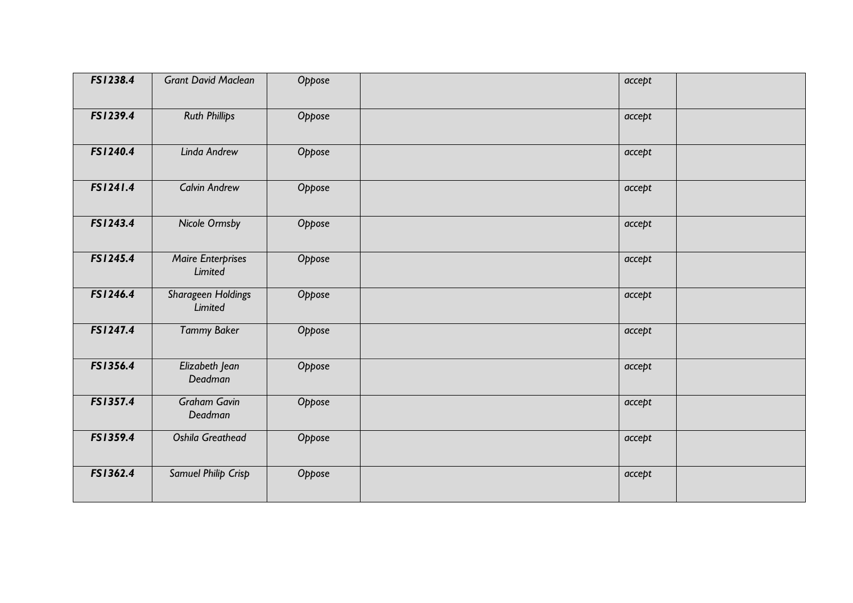| FS1238.4 | <b>Grant David Maclean</b>          | Oppose | accept |  |
|----------|-------------------------------------|--------|--------|--|
| FS1239.4 | <b>Ruth Phillips</b>                | Oppose | accept |  |
| FS1240.4 | Linda Andrew                        | Oppose | accept |  |
| FS1241.4 | <b>Calvin Andrew</b>                | Oppose | accept |  |
| FS1243.4 | Nicole Ormsby                       | Oppose | accept |  |
| FS1245.4 | <b>Maire Enterprises</b><br>Limited | Oppose | accept |  |
| FS1246.4 | Sharageen Holdings<br>Limited       | Oppose | accept |  |
| FS1247.4 | <b>Tammy Baker</b>                  | Oppose | accept |  |
| FS1356.4 | Elizabeth Jean<br>Deadman           | Oppose | accept |  |
| FS1357.4 | <b>Graham Gavin</b><br>Deadman      | Oppose | accept |  |
| FS1359.4 | Oshila Greathead                    | Oppose | accept |  |
| FS1362.4 | Samuel Philip Crisp                 | Oppose | accept |  |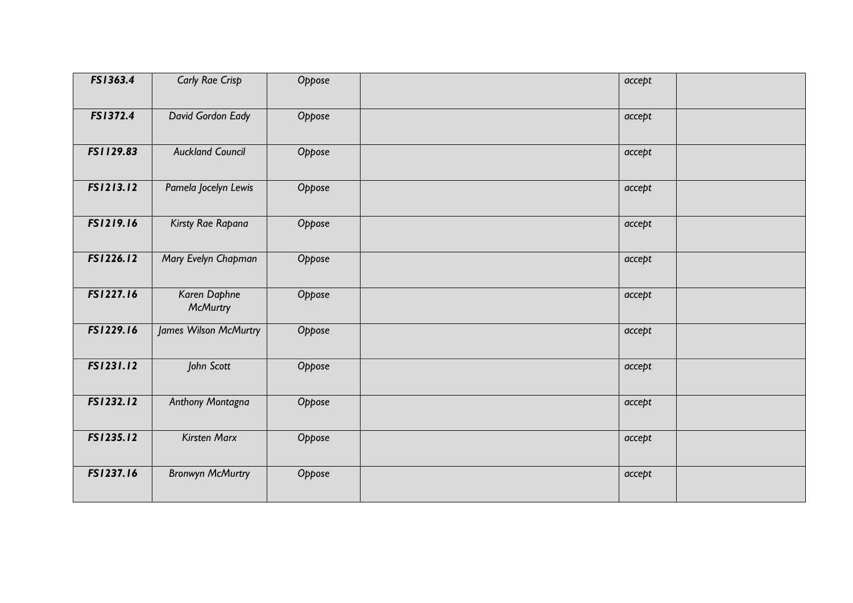| FS1363.4  | Carly Rae Crisp                 | Oppose | accept |  |
|-----------|---------------------------------|--------|--------|--|
| FS1372.4  | David Gordon Eady               | Oppose | accept |  |
| FS1129.83 | <b>Auckland Council</b>         | Oppose | accept |  |
| FS1213.12 | Pamela Jocelyn Lewis            | Oppose | accept |  |
| FS1219.16 | Kirsty Rae Rapana               | Oppose | accept |  |
| FS1226.12 | Mary Evelyn Chapman             | Oppose | accept |  |
| FS1227.16 | Karen Daphne<br><b>McMurtry</b> | Oppose | accept |  |
| FS1229.16 | James Wilson McMurtry           | Oppose | accept |  |
| FS1231.12 | John Scott                      | Oppose | accept |  |
| FS1232.12 | Anthony Montagna                | Oppose | accept |  |
| FS1235.12 | <b>Kirsten Marx</b>             | Oppose | accept |  |
| FS1237.16 | <b>Bronwyn McMurtry</b>         | Oppose | accept |  |